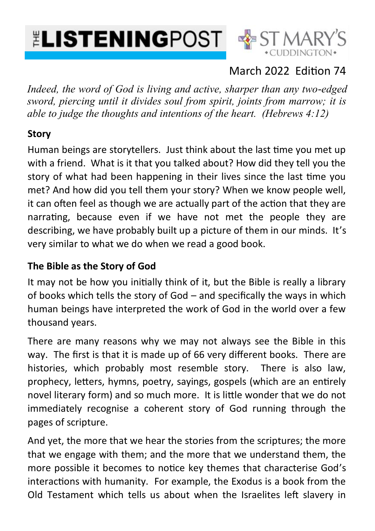# **ELISTENINGPOST SEST MAR**



### March 2022 Edition 74

*Indeed, the word of God is living and active, sharper than any two-edged sword, piercing until it divides soul from spirit, joints from marrow; it is able to judge the thoughts and intentions of the heart. (Hebrews 4:12)*

#### **Story**

Human beings are storytellers. Just think about the last time you met up with a friend. What is it that you talked about? How did they tell you the story of what had been happening in their lives since the last time you met? And how did you tell them your story? When we know people well, it can often feel as though we are actually part of the action that they are narrating, because even if we have not met the people they are describing, we have probably built up a picture of them in our minds. It's very similar to what we do when we read a good book.

#### **The Bible as the Story of God**

It may not be how you initially think of it, but the Bible is really a library of books which tells the story of God – and specifically the ways in which human beings have interpreted the work of God in the world over a few thousand years.

There are many reasons why we may not always see the Bible in this way. The first is that it is made up of 66 very different books. There are histories, which probably most resemble story. There is also law, prophecy, letters, hymns, poetry, sayings, gospels (which are an entirely novel literary form) and so much more. It is little wonder that we do not immediately recognise a coherent story of God running through the pages of scripture.

And yet, the more that we hear the stories from the scriptures; the more that we engage with them; and the more that we understand them, the more possible it becomes to notice key themes that characterise God's interactions with humanity. For example, the Exodus is a book from the Old Testament which tells us about when the Israelites left slavery in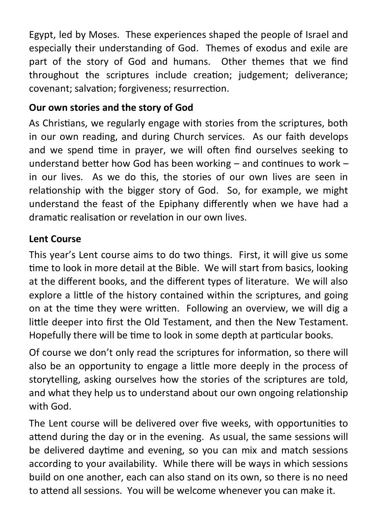Egypt, led by Moses. These experiences shaped the people of Israel and especially their understanding of God. Themes of exodus and exile are part of the story of God and humans. Other themes that we find throughout the scriptures include creation; judgement; deliverance; covenant; salvation; forgiveness; resurrection.

#### **Our own stories and the story of God**

As Christians, we regularly engage with stories from the scriptures, both in our own reading, and during Church services. As our faith develops and we spend time in prayer, we will often find ourselves seeking to understand better how God has been working – and continues to work – in our lives. As we do this, the stories of our own lives are seen in relationship with the bigger story of God. So, for example, we might understand the feast of the Epiphany differently when we have had a dramatic realisation or revelation in our own lives.

#### **Lent Course**

This year's Lent course aims to do two things. First, it will give us some time to look in more detail at the Bible. We will start from basics, looking at the different books, and the different types of literature. We will also explore a little of the history contained within the scriptures, and going on at the time they were written. Following an overview, we will dig a little deeper into first the Old Testament, and then the New Testament. Hopefully there will be time to look in some depth at particular books.

Of course we don't only read the scriptures for information, so there will also be an opportunity to engage a little more deeply in the process of storytelling, asking ourselves how the stories of the scriptures are told, and what they help us to understand about our own ongoing relationship with God.

The Lent course will be delivered over five weeks, with opportunities to attend during the day or in the evening. As usual, the same sessions will be delivered daytime and evening, so you can mix and match sessions according to your availability. While there will be ways in which sessions build on one another, each can also stand on its own, so there is no need to attend all sessions. You will be welcome whenever you can make it.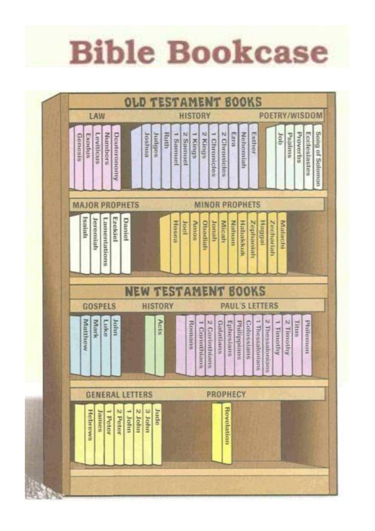# **Bible Bookcase**